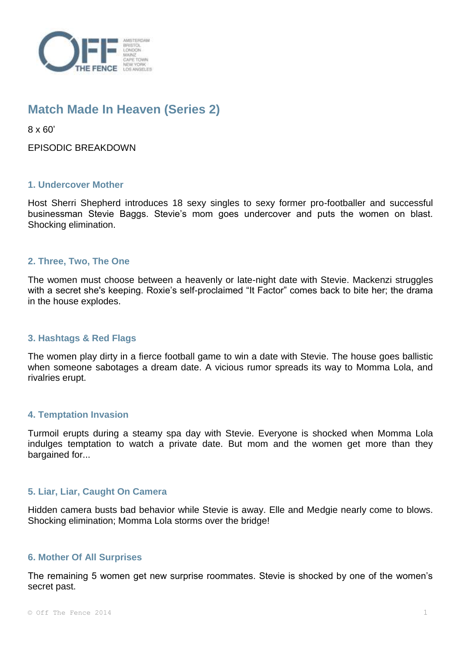

# **Match Made In Heaven (Series 2)**

8 x 60'

EPISODIC BREAKDOWN

### **1. Undercover Mother**

Host Sherri Shepherd introduces 18 sexy singles to sexy former pro-footballer and successful businessman Stevie Baggs. Stevie's mom goes undercover and puts the women on blast. Shocking elimination.

#### **2. Three, Two, The One**

The women must choose between a heavenly or late-night date with Stevie. Mackenzi struggles with a secret she's keeping. Roxie's self-proclaimed "It Factor" comes back to bite her; the drama in the house explodes.

#### **3. Hashtags & Red Flags**

The women play dirty in a fierce football game to win a date with Stevie. The house goes ballistic when someone sabotages a dream date. A vicious rumor spreads its way to Momma Lola, and rivalries erupt.

#### **4. Temptation Invasion**

Turmoil erupts during a steamy spa day with Stevie. Everyone is shocked when Momma Lola indulges temptation to watch a private date. But mom and the women get more than they bargained for...

#### **5. Liar, Liar, Caught On Camera**

Hidden camera busts bad behavior while Stevie is away. Elle and Medgie nearly come to blows. Shocking elimination; Momma Lola storms over the bridge!

#### **6. Mother Of All Surprises**

The remaining 5 women get new surprise roommates. Stevie is shocked by one of the women's secret past.